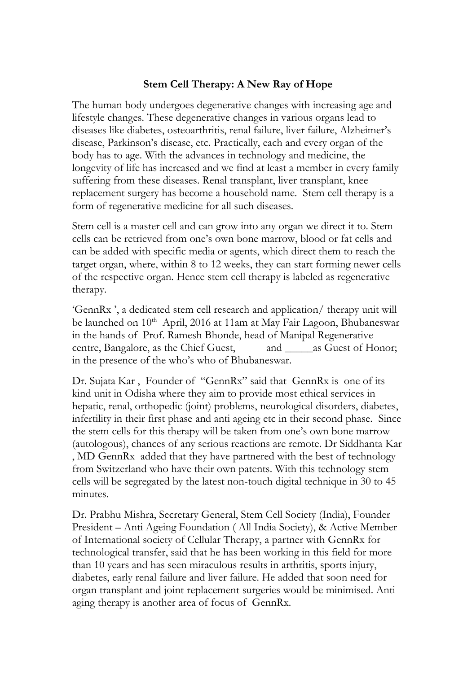## **Stem Cell Therapy: A New Ray of Hope**

The human body undergoes degenerative changes with increasing age and lifestyle changes. These degenerative changes in various organs lead to diseases like diabetes, osteoarthritis, renal failure, liver failure, Alzheimer's disease, Parkinson's disease, etc. Practically, each and every organ of the body has to age. With the advances in technology and medicine, the longevity of life has increased and we find at least a member in every family suffering from these diseases. Renal transplant, liver transplant, knee replacement surgery has become a household name. Stem cell therapy is a form of regenerative medicine for all such diseases.

Stem cell is a master cell and can grow into any organ we direct it to. Stem cells can be retrieved from one's own bone marrow, blood or fat cells and can be added with specific media or agents, which direct them to reach the target organ, where, within 8 to 12 weeks, they can start forming newer cells of the respective organ. Hence stem cell therapy is labeled as regenerative therapy.

'GennRx ', a dedicated stem cell research and application/ therapy unit will be launched on 10<sup>th</sup> April, 2016 at 11am at May Fair Lagoon, Bhubaneswar in the hands of Prof. Ramesh Bhonde, head of Manipal Regenerative centre, Bangalore, as the Chief Guest, and \_\_\_\_\_\_as Guest of Honor; in the presence of the who's who of Bhubaneswar.

Dr. Sujata Kar , Founder of "GennRx" said that GennRx is one of its kind unit in Odisha where they aim to provide most ethical services in hepatic, renal, orthopedic (joint) problems, neurological disorders, diabetes, infertility in their first phase and anti ageing etc in their second phase. Since the stem cells for this therapy will be taken from one's own bone marrow (autologous), chances of any serious reactions are remote. Dr Siddhanta Kar , MD GennRx added that they have partnered with the best of technology from Switzerland who have their own patents. With this technology stem cells will be segregated by the latest non-touch digital technique in 30 to 45 minutes.

Dr. Prabhu Mishra, Secretary General, Stem Cell Society (India), Founder President – Anti Ageing Foundation ( All India Society), & Active Member of International society of Cellular Therapy, a partner with GennRx for technological transfer, said that he has been working in this field for more than 10 years and has seen miraculous results in arthritis, sports injury, diabetes, early renal failure and liver failure. He added that soon need for organ transplant and joint replacement surgeries would be minimised. Anti aging therapy is another area of focus of GennRx.